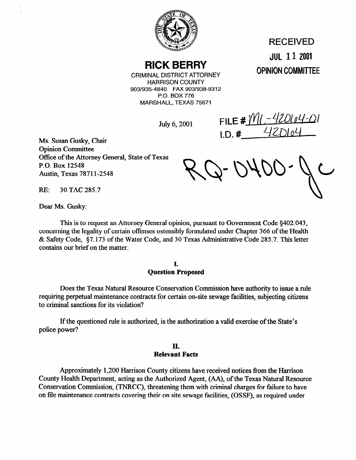

## **RICK BERRY**

CRIMINAL DISTRICT ATTORNEY HARRISON COUNTY 903/935-4840 FAX 903/938-9312 P.O. BOX 776 MARSHALL, TEXAS 75671

July 6, 2001

.iJUL **11 2001 OPINION COMMITTEE** 

RECEIVED

FILE #  $M(-420104-0)$  $1. D. #$ 

Ms. Susan Gusky, Chair Opinion Committee . Office of the Attorney General, State of Texas P.O. Box 12548 Austin, Texas **7871 l-2548** 

**RE: 30** TAC 285.7

Dear Ms. Gusky:

This is to request an Attorney General opinion, pursuant to Government Code \$402.043, concerning the legality of certain offenses ostensibly formulated under Chapter 366 of the Health & Safety Code, **\$7.173** of the Water Code, and 30 Texas Administrative Code 285.7. This letter contains our brief on the matter.

> **I. Question Proposed**

Does the Texas Natural Resource Conservation Commission have authority to issue a rule requiring perpetual maintenance contracts for certain on-site sewage facilities, subjecting citizens to criminal sanctions for its violation?

If the questioned rule is authorized, is the authorization a valid exercise of the State's police power?

#### **II. Relevant Facts**

Approximately 1,200 Harrison County citizens have received notices from the Harrison County Health Department, acting as the Authorized Agent, (AA), of the Texas Natural Resource Conservation Commission, (TNRCC), threatening them with criminal charges for failure to have on file maintenance contracts covering their on site sewage facilities, (OSSF), as required under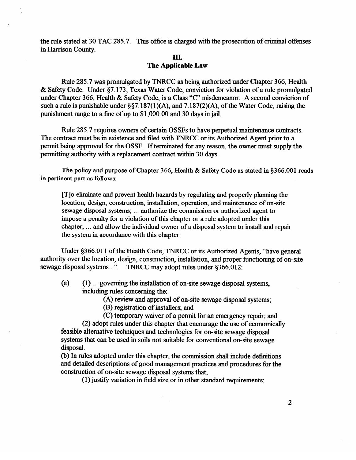the rule stated at 30 TAC 285.7. This office is charged with the prosecution of criminal offenses in Harrison County.

#### III. **The Applicable Law**

Rule 285.7 was promulgated by TNRCC as being authorized under Chapter 366, Health & Safety Code. Under **\$7.173,** Texas Water Code, conviction for violation of a rule promulgated under Chapter 366, Health & Safety Code, is a Class "C" misdemeanor. A second conviction of such a rule is punishable under §§7.187(1)(A), and 7.187(2)(A), of the Water Code, raising the punishment range to a fine of up to \$l,OOO.OO and 30 days in jail.

Rule 285.7 requires owners of certain OSSFs to have perpetual maintenance contracts. The contract must be in existence and filed with TNRCC or its Authorized Agent prior to a permit being approved for the OSSF. If terminated for any reason, the owner must supply the permitting authority with a replacement contract within 30 days.

The policy and purpose of Chapter 366, Health & Safety Code as stated in \$366.001 reads in pertinent part as follows:

[T]o eliminate and prevent health hazards by regulating and properly planning the location, design, construction, installation, operation, and maintenance of on-site sewage disposal systems; ... authorize the commission or authorized agent to impose a penalty for a violation of this chapter or a rule adopted under this impose a penalty for a violation of this enapter or a rule adopted under this  $\alpha$ chapter; . . . and allow the individual owner of a disposal system to install and repair the system in accordance with this chapter.

Under §366.011 of the Health Code, TNRCC or its Authorized Agents, "have general authority over the location, design, construction, installation, and proper functioning of on-site  $\frac{1}{2}$  and the location, design, construction, installation, and proper functioning of on-site<br>senzage disposal systems  $\frac{1}{2}$ . TNRCC may adopt piles under 8366.012. sewage disposal systems.. .". TNRCC may adopt rules under \$366.012:

- (a) (1) ... governing the installation of on-site sewage disposal systems, including rules concerning the:
	- (A) review and approval of on-site sewage disposal systems;
	- (B) registration of installers; and
	- (C) temporary waiver of a permit for an emergency repair; and

(2) adopt rules under this chapter that encourage the use of economically feasible alternative techniques and technologies for on-site sewage disposal systems that can be used in soils not suitable for conventional on-site sewage systems that can be used in some used in some suitable for conventional on-site sewage on-site sewage sewage s

(b) In rules adopted under this chapter, the commission shall include definitions and detailed descriptions of good management practices and procedures for the construction of on-site sewage disposal systems that:

 $(1)$  justify variation in field size or in other standard requirements;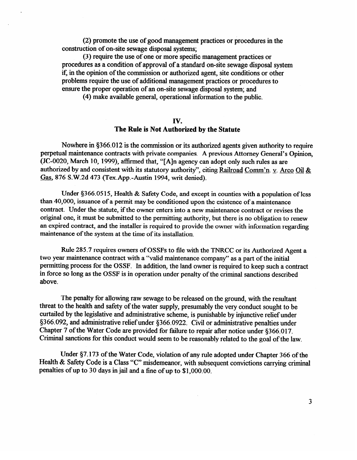(2) promote the use of good management practices or procedures in the construction of on-site sewage disposal systems;

(3) require the use of one or more specific management practices or procedures as a condition of approval of a standard on-site sewage disposal system if, in the opinion of the commission or authorized agent, site conditions or other problems require the use of additional management practices or procedures to ensure the proper operation of an on-site sewage disposal system; and

(4) make available general, operational information to the public.

## **IV.**

## **The Rule is Not Authorized by the Statute**

Nowhere in \$366.012 is the commission or its authorized agents given authority to require perpetual maintenance contracts with private companies. A previous Attorney General's Opinion,  $(30.9020, 0.0020, 0.0006)$  at  $(1.400, 1.000)$  and  $(1.400, 0.000)$  can adopt only such rules as are authorized by and consistent with its statutory authority", citing Railroad Comm'n v Arco Oil & -me--- Gas, 876 S.W.2d 473 (Tex.App.-Austin 1994, writ denied).

Under §366.0515, Health & Safety Code, and except in counties with a population of less than 40,000, issuance of a permit may be conditioned upon the existence of a maintenance contract. Under the statute, if the owner enters into a new maintenance contract or revises the original one, it must be submitted to the permitting authority, but there is no obligation to renew an expired contract, and the installer is required to provide the owner with information regarding  $\frac{1}{2}$  and the contract, and the installer is required to provide the owner with information regarding maintenance of the system at the time of its installation.

Rule 285.7 requires owners of OSSFs to file with the TNRCC or its Authorized Agent a two year maintenance contract with a "valid maintenance company" as a part of the initial permitting process for the OSSF. In addition, the land owner is required to keep such a contract  $\frac{1}{2}$  force so long as the OSSF is in operation under penalty of the criminal sanctions described above so  $\frac{1}{1}$  is in operation under personal sanction under personal sanctions described

The penalty for allowing raw sewage to be released on the ground, with the resultant threat to the health and safety of the water supply, presumably the very conduct sought to be curtailed by the legislative and administrative scheme, is punishable by injunctive relief under §366.092, and administrative relief under §366.0922. Civil or administrative penalties under Chapter 7 of the Water Code are provided for failure to repair after notice under \$366.017. Criminal sanctions for this conduct would seem to be reasonably related to the goal of the law.

Criminal sanctions for this conduct would seem to be reasonably related to the goal of the law.

Under §7.173 of the Water Code, violation of any rule adopted under Chapter 366 of the Health & Safety Code is a Class "C" misdemeanor, with subsequent convictions carrying criminal penalties of up to 30 days in jail and a fine of up to  $$1,000.00$ .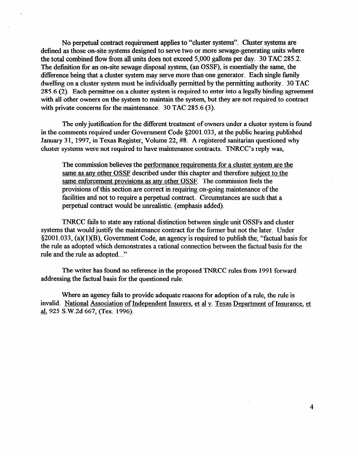No perpetual contract requirement applies to "cluster systems". Cluster systems are defined as those on-site systems designed to serve two or more sewage-generating units where the total combined flow from all units does not exceed 5,000 gallons per day. 30 TAC 285.2. The definition for an on-site sewage disposal system, (an OSSF), is essentially the same, the difference being that a cluster system may serve more than one generator. Each single family dwelling on a cluster system must be individually permitted by the permitting authority. 30 TAC 285.6 (2). Each permittee on a cluster system is required to enter into a legally binding agreement with all other owners on the system to maintain the system, but they are not required to contract with private concerns for the maintenance. 30 TAC 285.6 (3).

The only justification for the different treatment of owners under a cluster system is found in the comments required under Government Code \$2001.033, at the public hearing published January 31, 1997, in Texas Register, Volume 22, #8. A registered sanitarian questioned why cluster systems were not required to have maintenance contracts. TNRCC's reply was,

The commission believes the performance requirements for a cluster system are the same as anv other OSSF described under this chapter and therefore subiect to the same enforcement provisions as any other OSSF. The commission feels the provisions of this section are correct in requiring on-going maintenance of the facilities and not to require a perpetual contract. Circumstances are such that a perpetual contract would be unrealistic. (emphasis added).

TNRCC fails to state any rational distinction between single unit OSSFs and cluster systems that would justify the maintenance contract for the former but not the later. Under  $\S2001.033$ , (a)(1)(B), Government Code, an agency is required to publish the, "factual basis for the rule as adopted which demonstrates a rational connection between the factual basis for the rule and the rule as adopted.. ."

The writer has found no reference in the proposed TNRCC rules from 1991 forward addressing the factual basis for the questioned rule.

Where an agency fails to provide adequate reasons for adoption of a rule, the rule is invalid. National Association of Independent Insurers, et al v. Texas Department of Insurance, et al, 925 S.W.2d 667, (Tex. 1996).

 $\overline{4}$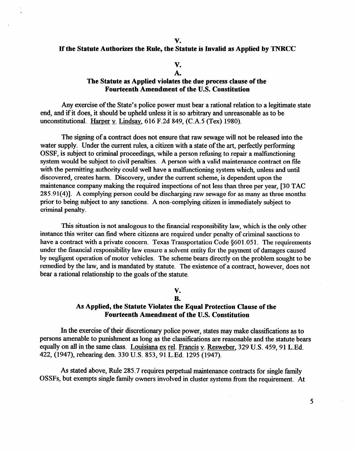#### **If the Statute Authorizes the Rule, the Statute is Invalid as Applied by TNRCC**

#### v. **A.**

#### **The Statute as Applied violates the due process clause of the Fourteenth Amendment of the U.S. Constitution**

Any exercise of the State's police power must bear a rational relation to a legitimate state end, and if it does, it should be upheld unless it is so arbitrary and unreasonable as to be unconstitutional. Harper v. Lindsay, 616 F.2d 849, (C.A.5 (Tex) 1980).

The signing of a contract does not ensure that raw sewage will not be released into the water supply. Under the current rules, a citizen with a state of the art, perfectly performing OSSF, is subject to criminal proceedings, while a person refusing to repair a malfunctioning system would be subject to civil penalties. A person with a valid maintenance contract on file<br>with the permitting authority could well have a malfunctioning system which, unless and until discovered, creates harm. Discovery, under the current scheme, is dependent upon the maintenance company making the required inspections of not less than three per year. [30 TAC 285.91(4)]. A complying person could be discharging raw sewage for as many as three months 285.91(4)]. A complying person could be discharging raw sewage for as many as three months prior to being subject to any sanctions. A non-complying citizen is immediately subject to criminal penalty.

This situation is not analogous to the financial responsibility law, which is the only other instance this writer can find where citizens are required under penalty of criminal sanctions to have a contract with a private concern. Texas Transportation Code  $\S601.051$ . The requirements under the financial responsibility law ensure a solvent entity for the payment of damages caused by negligent operation of motor vehicles. The scheme bears directly on the problem sought to be remedied by the law, and is mandated by statute. The existence of a contract, however, does not bear a rational relationship to the goals of the statute.  $\mathbf{b}$  rationship to the statute statute of the statute.

# V.<br>B.

### As Applied, the Statute Violates the Equal Protection Clause of the Fourteenth Amendment of the U.S. Constitution

In the exercise of their discretionary police power, states may make classifications as to persons amenable to punishment as long as the classifications are reasonable and the statute bears equally on all in the same class. Louisiana ex rel. Francis v. Resweber, 329 U.S. 459, 91 L.Ed. 422, (1947), rehearing den. 330 U.S. 853, 91 L.Ed. 1295 (1947).

As stated above, Rule 285.7 requires perpetual maintenance contracts for single family OSSFs, but exempts single family owners involved in cluster systems from the requirement. At